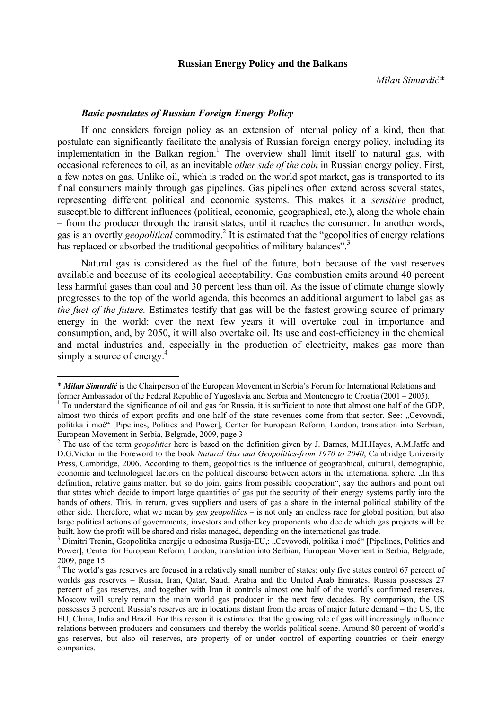## **Russian Energy Policy and the Balkans**

## *Basic postulates of Russian Foreign Energy Policy*

 $\overline{a}$ 

If one considers foreign policy as an extension of internal policy of a kind, then that postulate can significantly facilitate the analysis of Russian foreign energy policy, including its implementation in the Balkan region.<sup>1</sup> The overview shall limit itself to natural gas, with occasional references to oil, as an inevitable *other side of the coin* in Russian energy policy. First, a few notes on gas. Unlike oil, which is traded on the world spot market, gas is transported to its final consumers mainly through gas pipelines. Gas pipelines often extend across several states, representing different political and economic systems. This makes it a *sensitive* product, susceptible to different influences (political, economic, geographical, etc.), along the whole chain – from the producer through the transit states, until it reaches the consumer. In another words, gas is an overtly *geopolitical* commodity.2 It is estimated that the "geopolitics of energy relations has replaced or absorbed the traditional geopolitics of military balances".<sup>3</sup>

Natural gas is considered as the fuel of the future, both because of the vast reserves available and because of its ecological acceptability. Gas combustion emits around 40 percent less harmful gases than coal and 30 percent less than oil. As the issue of climate change slowly progresses to the top of the world agenda, this becomes an additional argument to label gas as *the fuel of the future.* Estimates testify that gas will be the fastest growing source of primary energy in the world: over the next few years it will overtake coal in importance and consumption, and, by 2050, it will also overtake oil. Its use and cost-efficiency in the chemical and metal industries and, especially in the production of electricity, makes gas more than simply a source of energy.<sup>4</sup>

<sup>\*</sup> *Milan Simurdić* is the Chairperson of the European Movement in Serbia's Forum for International Relations and former Ambassador of the Federal Republic of Yugoslavia and Serbia and Montenegro to Croatia (2001 – 2005). 1

To understand the significance of oil and gas for Russia, it is sufficient to note that almost one half of the GDP, almost two thirds of export profits and one half of the state revenues come from that sector. See: "Cevovodi, politika i moć" [Pipelines, Politics and Power], Center for European Reform, London, translation into Serbian, European Movement in Serbia, Belgrade, 2009, page 3

<sup>&</sup>lt;sup>2</sup> The use of the term *geopolitics* here is based on the definition given by J. Barnes, M.H.Hayes, A.M.Jaffe and D.G.Victor in the Foreword to the book *Natural Gas and Geopolitics-from 1970 to 2040*, Cambridge University Press, Cambridge, 2006. According to them, geopolitics is the influence of geographical, cultural, demographic, economic and technological factors on the political discourse between actors in the international sphere. "In this definition, relative gains matter, but so do joint gains from possible cooperation", say the authors and point out that states which decide to import large quantities of gas put the security of their energy systems partly into the hands of others. This, in return, gives suppliers and users of gas a share in the internal political stability of the other side. Therefore, what we mean by *gas geopolitics* – is not only an endless race for global position, but also large political actions of governments, investors and other key proponents who decide which gas projects will be built, how the profit will be shared and risks managed, depending on the international gas trade.

<sup>&</sup>lt;sup>3</sup> Dimitri Trenin, Geopolitika energije u odnosima Rusija-EU,: "Cevovodi, politika i moć" [Pipelines, Politics and Power], Center for European Reform, London, translation into Serbian, European Movement in Serbia, Belgrade, 2009, page 15.

<sup>&</sup>lt;sup>4</sup> The world's gas reserves are focused in a relatively small number of states: only five states control 67 percent of worlds gas reserves – Russia, Iran, Qatar, Saudi Arabia and the United Arab Emirates. Russia possesses 27 percent of gas reserves, and together with Iran it controls almost one half of the world's confirmed reserves. Moscow will surely remain the main world gas producer in the next few decades. By comparison, the US possesses 3 percent. Russia's reserves are in locations distant from the areas of major future demand – the US, the EU, China, India and Brazil. For this reason it is estimated that the growing role of gas will increasingly influence relations between producers and consumers and thereby the worlds political scene. Around 80 percent of world's gas reserves, but also oil reserves, are property of or under control of exporting countries or their energy companies.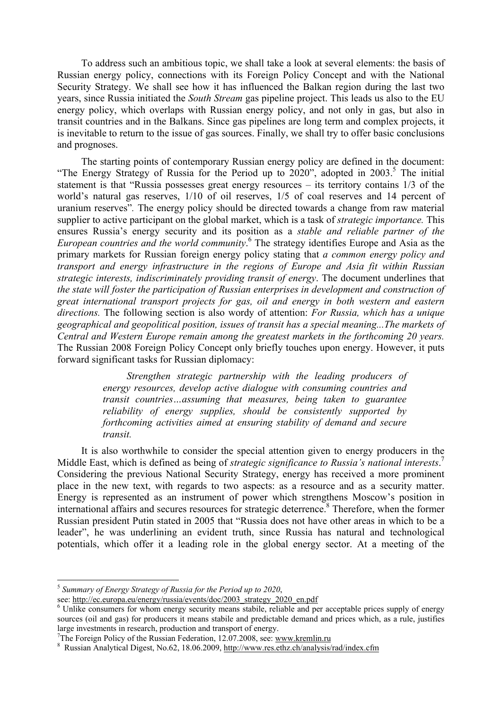To address such an ambitious topic, we shall take a look at several elements: the basis of Russian energy policy, connections with its Foreign Policy Concept and with the National Security Strategy. We shall see how it has influenced the Balkan region during the last two years, since Russia initiated the *South Stream* gas pipeline project. This leads us also to the EU energy policy, which overlaps with Russian energy policy, and not only in gas, but also in transit countries and in the Balkans. Since gas pipelines are long term and complex projects, it is inevitable to return to the issue of gas sources. Finally, we shall try to offer basic conclusions and prognoses.

The starting points of contemporary Russian energy policy are defined in the document: "The Energy Strategy of Russia for the Period up to  $2020$ ", adopted in  $2003$ .<sup>5</sup> The initial statement is that "Russia possesses great energy resources – its territory contains 1/3 of the world's natural gas reserves, 1/10 of oil reserves, 1/5 of coal reserves and 14 percent of uranium reserves"*.* The energy policy should be directed towards a change from raw material supplier to active participant on the global market, which is a task of *strategic importance.* This ensures Russia's energy security and its position as a *stable and reliable partner of the European countries and the world community*. 6 The strategy identifies Europe and Asia as the primary markets for Russian foreign energy policy stating that *a common energy policy and transport and energy infrastructure in the regions of Europe and Asia fit within Russian strategic interests, indiscriminately providing transit of energy*. The document underlines that *the state will foster the participation of Russian enterprises in development and construction of great international transport projects for gas, oil and energy in both western and eastern directions.* The following section is also wordy of attention: *For Russia, which has a unique geographical and geopolitical position, issues of transit has a special meaning...The markets of Central and Western Europe remain among the greatest markets in the forthcoming 20 years.* The Russian 2008 Foreign Policy Concept only briefly touches upon energy. However, it puts forward significant tasks for Russian diplomacy:

> *Strengthen strategic partnership with the leading producers of energy resources, develop active dialogue with consuming countries and transit countries…assuming that measures, being taken to guarantee reliability of energy supplies, should be consistently supported by forthcoming activities aimed at ensuring stability of demand and secure transit.*

It is also worthwhile to consider the special attention given to energy producers in the Middle East, which is defined as being of *strategic significance to Russia's national interests*. 7 Considering the previous National Security Strategy, energy has received a more prominent place in the new text, with regards to two aspects: as a resource and as a security matter. Energy is represented as an instrument of power which strengthens Moscow's position in international affairs and secures resources for strategic deterrence.<sup>8</sup> Therefore, when the former Russian president Putin stated in 2005 that "Russia does not have other areas in which to be a leader", he was underlining an evident truth, since Russia has natural and technological potentials, which offer it a leading role in the global energy sector. At a meeting of the

 $\overline{a}$ 

<sup>5</sup> *Summary of Energy Strategy of Russia for the Period up to 2020*,

see: http://ec.europa.eu/energy/russia/events/doc/2003\_strategy\_2020\_en.pdf

<sup>&</sup>lt;sup>6</sup> Unlike consumers for whom energy security means stabile, reliable and per acceptable prices supply of energy sources (oil and gas) for producers it means stabile and predictable demand and prices which, as a rule, justifies large investments in research, production and transport of energy.

<sup>&</sup>lt;sup>7</sup>The Foreign Policy of the Russian Federation, 12.07.2008, see: www.kremlin.ru

<sup>&</sup>lt;sup>8</sup> Russian Analytical Digest, No.62, 18.06.2009, http://www.res.ethz.ch/analysis/rad/index.cfm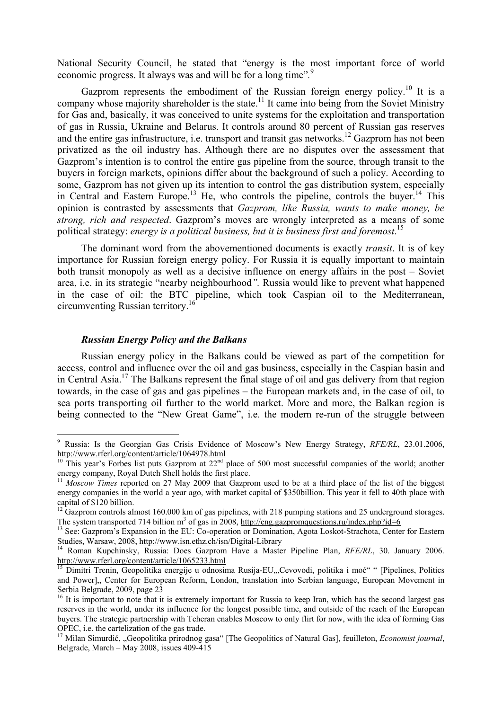National Security Council, he stated that "energy is the most important force of world economic progress. It always was and will be for a long time".<sup>9</sup>

Gazprom represents the embodiment of the Russian foreign energy policy.<sup>10</sup> It is a company whose majority shareholder is the state.<sup>11</sup> It came into being from the Soviet Ministry for Gas and, basically, it was conceived to unite systems for the exploitation and transportation of gas in Russia, Ukraine and Belarus. It controls around 80 percent of Russian gas reserves and the entire gas infrastructure, i.e. transport and transit gas networks.<sup>12</sup> Gazprom has not been privatized as the oil industry has. Although there are no disputes over the assessment that Gazprom's intention is to control the entire gas pipeline from the source, through transit to the buyers in foreign markets, opinions differ about the background of such a policy. According to some, Gazprom has not given up its intention to control the gas distribution system, especially in Central and Eastern Europe.<sup>13</sup> He, who controls the pipeline, controls the buyer.<sup>14</sup> This opinion is contrasted by assessments that *Gazprom, like Russia, wants to make money, be strong, rich and respected*. Gazprom's moves are wrongly interpreted as a means of some political strategy: *energy is a political business, but it is business first and foremost*. 15

The dominant word from the abovementioned documents is exactly *transit*. It is of key importance for Russian foreign energy policy. For Russia it is equally important to maintain both transit monopoly as well as a decisive influence on energy affairs in the post – Soviet area, i.e. in its strategic "nearby neighbourhood*".* Russia would like to prevent what happened in the case of oil: the BTC pipeline, which took Caspian oil to the Mediterranean, circumventing Russian territory.16

## *Russian Energy Policy and the Balkans*

 $\overline{a}$ 

Russian energy policy in the Balkans could be viewed as part of the competition for access, control and influence over the oil and gas business, especially in the Caspian basin and in Central Asia.17 The Balkans represent the final stage of oil and gas delivery from that region towards, in the case of gas and gas pipelines – the European markets and, in the case of oil, to sea ports transporting oil further to the world market. More and more, the Balkan region is being connected to the "New Great Game", i.e. the modern re-run of the struggle between

<sup>9</sup> Russia: Is the Georgian Gas Crisis Evidence of Moscow's New Energy Strategy, *RFE/RL*, 23.01.2006, http://www.rferl.org/content/article/1064978.html

<sup>&</sup>lt;sup>10</sup> This year's Forbes list puts Gazprom at 22<sup>nd</sup> place of 500 most successful companies of the world; another energy company, Royal Dutch Shell holds the first place.

<sup>&</sup>lt;sup>11</sup> *Moscow Times* reported on 27 May 2009 that Gazprom used to be at a third place of the list of the biggest energy companies in the world a year ago, with market capital of \$350billion. This year it fell to 40th place with capital of \$120 billion.

 $12$  Gazprom controls almost 160.000 km of gas pipelines, with 218 pumping stations and 25 underground storages. The system transported 714 billion  $m^3$  of gas in 2008, http://eng.gazpromquestions.ru/index.php?id=6

<sup>&</sup>lt;sup>13</sup> See: Gazprom<sup>3</sup>s Expansion in the EU: Co-operation or Domination, Agota Loskot-Strachota, Center for Eastern Studies, Warsaw, 2008, http://www.isn.ethz.ch/isn/Digital-Library 14 Roman Kupchinsky, Russia: Does Gazprom Have a Master Pipeline Plan, *RFE/RL*, 30. January 2006.

http://www.rferl.org/content/article/1065233.html

<sup>15</sup> Dimitri Trenin, Geopolitika energije u odnosima Rusija-EU,"Cevovodi, politika i moć" " [Pipelines, Politics and Power],, Center for European Reform, London, translation into Serbian language, European Movement in Serbia Belgrade, 2009, page 23

<sup>&</sup>lt;sup>16</sup> It is important to note that it is extremely important for Russia to keep Iran, which has the second largest gas reserves in the world, under its influence for the longest possible time, and outside of the reach of the European buyers. The strategic partnership with Teheran enables Moscow to only flirt for now, with the idea of forming Gas OPEC, i.e. the cartelization of the gas trade.

<sup>&</sup>lt;sup>17</sup> Milan Simurdić, "Geopolitika prirodnog gasa" [The Geopolitics of Natural Gas], feuilleton, *Economist journal*, Belgrade, March – May 2008, issues 409-415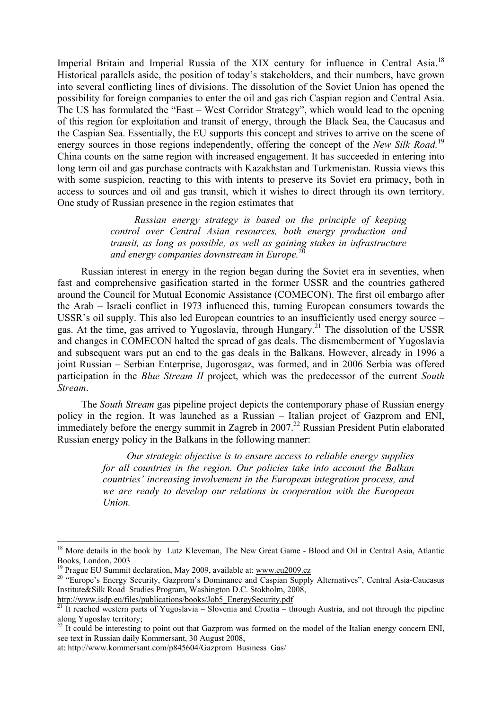Imperial Britain and Imperial Russia of the XIX century for influence in Central Asia.<sup>18</sup> Historical parallels aside, the position of today's stakeholders, and their numbers, have grown into several conflicting lines of divisions. The dissolution of the Soviet Union has opened the possibility for foreign companies to enter the oil and gas rich Caspian region and Central Asia. The US has formulated the "East – West Corridor Strategy", which would lead to the opening of this region for exploitation and transit of energy, through the Black Sea, the Caucasus and the Caspian Sea. Essentially, the EU supports this concept and strives to arrive on the scene of energy sources in those regions independently, offering the concept of the *New Silk Road*.<sup>19</sup> China counts on the same region with increased engagement. It has succeeded in entering into long term oil and gas purchase contracts with Kazakhstan and Turkmenistan. Russia views this with some suspicion, reacting to this with intents to preserve its Soviet era primacy, both in access to sources and oil and gas transit, which it wishes to direct through its own territory. One study of Russian presence in the region estimates that

> *Russian energy strategy is based on the principle of keeping control over Central Asian resources, both energy production and transit, as long as possible, as well as gaining stakes in infrastructure and energy companies downstream in Europe.*20

Russian interest in energy in the region began during the Soviet era in seventies, when fast and comprehensive gasification started in the former USSR and the countries gathered around the Council for Mutual Economic Assistance (COMECON). The first oil embargo after the Arab – Israeli conflict in 1973 influenced this, turning European consumers towards the USSR's oil supply. This also led European countries to an insufficiently used energy source – gas. At the time, gas arrived to Yugoslavia, through Hungary.<sup>21</sup> The dissolution of the USSR and changes in COMECON halted the spread of gas deals. The dismemberment of Yugoslavia and subsequent wars put an end to the gas deals in the Balkans. However, already in 1996 a joint Russian – Serbian Enterprise, Jugorosgaz, was formed, and in 2006 Serbia was offered participation in the *Blue Stream II* project, which was the predecessor of the current *South Stream*.

The *South Stream* gas pipeline project depicts the contemporary phase of Russian energy policy in the region. It was launched as a Russian – Italian project of Gazprom and ENI, immediately before the energy summit in Zagreb in  $2007<sup>22</sup>$  Russian President Putin elaborated Russian energy policy in the Balkans in the following manner:

> *Our strategic objective is to ensure access to reliable energy supplies for all countries in the region. Our policies take into account the Balkan countries' increasing involvement in the European integration process, and we are ready to develop our relations in cooperation with the European Union.*

 $\overline{a}$ 

<sup>&</sup>lt;sup>18</sup> More details in the book by Lutz Kleveman, The New Great Game - Blood and Oil in Central Asia, Atlantic Books, London, 2003<br><sup>19</sup> Prague EU Summit declaration. May 2009. available at: www.eu2009.cz

<sup>&</sup>lt;sup>20</sup> "Europe's Energy Security, Gazprom's Dominance and Caspian Supply Alternatives", Central Asia-Caucasus Institute&Silk Road Studies Program, Washington D.C. Stokholm, 2008,

http://www.isdp.eu/files/publications/books/Job5\_EnergySecurity.pdf<br><sup>21</sup> It reached western parts of Yugoslavia – Slovenia and Croatia – through Austria, and not through the pipeline along Yugoslav territory;

 $22$  It could be interesting to point out that Gazprom was formed on the model of the Italian energy concern ENI, see text in Russian daily Kommersant, 30 August 2008,

at: http://www.kommersant.com/p845604/Gazprom\_Business\_Gas/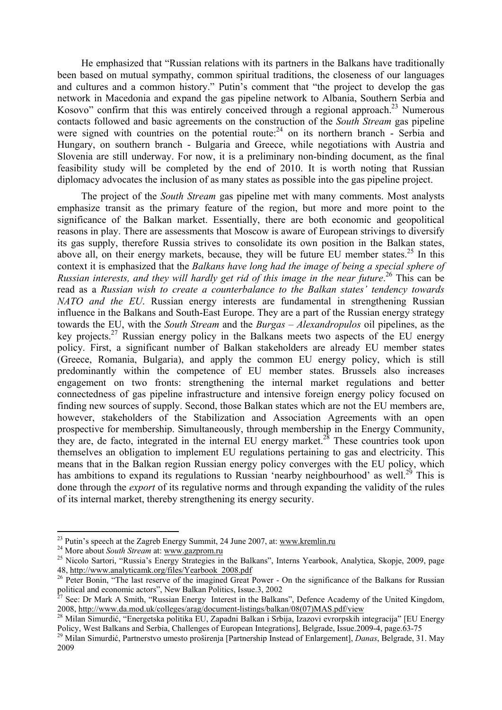He emphasized that "Russian relations with its partners in the Balkans have traditionally been based on mutual sympathy, common spiritual traditions, the closeness of our languages and cultures and a common history." Putin's comment that "the project to develop the gas network in Macedonia and expand the gas pipeline network to Albania, Southern Serbia and Kosovo" confirm that this was entirely conceived through a regional approach.<sup>23</sup> Numerous contacts followed and basic agreements on the construction of the *South Stream* gas pipeline were signed with countries on the potential route:<sup>24</sup> on its northern branch - Serbia and Hungary, on southern branch - Bulgaria and Greece, while negotiations with Austria and Slovenia are still underway. For now, it is a preliminary non-binding document, as the final feasibility study will be completed by the end of 2010. It is worth noting that Russian diplomacy advocates the inclusion of as many states as possible into the gas pipeline project.

The project of the *South Stream* gas pipeline met with many comments. Most analysts emphasize transit as the primary feature of the region, but more and more point to the significance of the Balkan market. Essentially, there are both economic and geopolitical reasons in play. There are assessments that Moscow is aware of European strivings to diversify its gas supply, therefore Russia strives to consolidate its own position in the Balkan states, above all, on their energy markets, because, they will be future EU member states.<sup>25</sup> In this context it is emphasized that the *Balkans have long had the image of being a special sphere of*  Russian interests, and they will hardly get rid of this image in the near future.<sup>26</sup> This can be read as a *Russian wish to create a counterbalance to the Balkan states' tendency towards NATO and the EU*. Russian energy interests are fundamental in strengthening Russian influence in the Balkans and South-East Europe. They are a part of the Russian energy strategy towards the EU, with the *South Stream* and the *Burgas – Alexandropulos* oil pipelines, as the key projects.27 Russian energy policy in the Balkans meets two aspects of the EU energy policy. First, a significant number of Balkan stakeholders are already EU member states (Greece, Romania, Bulgaria), and apply the common EU energy policy, which is still predominantly within the competence of EU member states. Brussels also increases engagement on two fronts: strengthening the internal market regulations and better connectedness of gas pipeline infrastructure and intensive foreign energy policy focused on finding new sources of supply. Second, those Balkan states which are not the EU members are, however, stakeholders of the Stabilization and Association Agreements with an open prospective for membership. Simultaneously, through membership in the Energy Community, they are, de facto, integrated in the internal EU energy market.<sup>28</sup> These countries took upon themselves an obligation to implement EU regulations pertaining to gas and electricity. This means that in the Balkan region Russian energy policy converges with the EU policy, which has ambitions to expand its regulations to Russian 'nearby neighbourhood' as well.<sup>29</sup> This is done through the *export* of its regulative norms and through expanding the validity of the rules of its internal market, thereby strengthening its energy security.

 $\overline{a}$ 

<sup>&</sup>lt;sup>23</sup> Putin's speech at the Zagreb Energy Summit, 24 June 2007, at: www.kremlin.ru

<sup>&</sup>lt;sup>24</sup> More about *South Stream* at: www.gazprom.ru<br>
<sup>25</sup> Nicolo Sartori, "Russia's Energy Strategies in the Balkans", Interns Yearbook, Analytica, Skopje, 2009, page<br>
48. http://www.analyticamk.org/files/Yearbook 2008.pdf

<sup>&</sup>lt;sup>26</sup> Peter Bonin, "The last reserve of the imagined Great Power - On the significance of the Balkans for Russian political and economic actors", New Balkan Politics, Issue 3, 2002

<sup>&</sup>lt;sup>7</sup> See: Dr Mark A Smith, "Russian Energy Interest in the Balkans". Defence Academy of the United Kingdom, 2008, http://www.da.mod.uk/colleges/arag/document-listings/balkan/08(07)MAS.pdf/view

<sup>28</sup> Milan Simurdić, "Energetska politika EU, Zapadni Balkan i Srbija, Izazovi evrorpskih integracija" [EU Energy Policy, West Balkans and Serbia, Challenges of European Integrations], Belgrade, Issue.2009-4, page.63-75

<sup>29</sup> Milan Simurdić, Partnerstvo umesto proširenja [Partnership Instead of Enlargement], *Danas*, Belgrade, 31. May 2009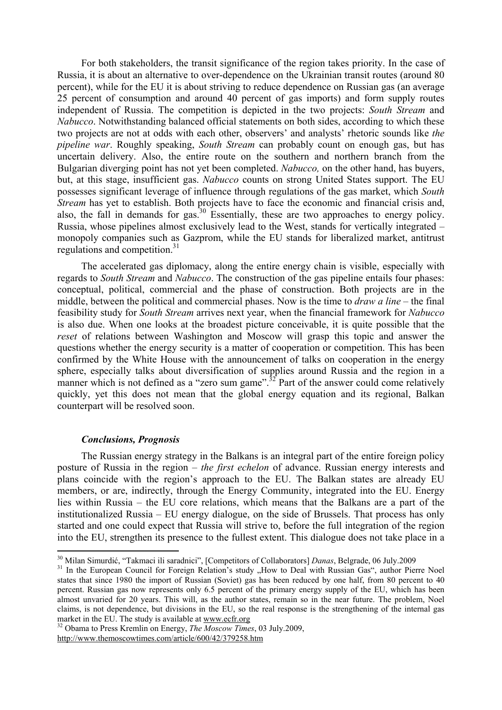For both stakeholders, the transit significance of the region takes priority. In the case of Russia, it is about an alternative to over-dependence on the Ukrainian transit routes (around 80 percent), while for the EU it is about striving to reduce dependence on Russian gas (an average 25 percent of consumption and around 40 percent of gas imports) and form supply routes independent of Russia. The competition is depicted in the two projects: *South Stream* and *Nabucco*. Notwithstanding balanced official statements on both sides, according to which these two projects are not at odds with each other, observers' and analysts' rhetoric sounds like *the pipeline war*. Roughly speaking, *South Stream* can probably count on enough gas, but has uncertain delivery. Also, the entire route on the southern and northern branch from the Bulgarian diverging point has not yet been completed. *Nabucco,* on the other hand, has buyers, but, at this stage, insufficient gas. *Nabucco* counts on strong United States support. The EU possesses significant leverage of influence through regulations of the gas market, which *South Stream* has yet to establish. Both projects have to face the economic and financial crisis and, also, the fall in demands for gas.30 Essentially, these are two approaches to energy policy. Russia, whose pipelines almost exclusively lead to the West, stands for vertically integrated – monopoly companies such as Gazprom, while the EU stands for liberalized market, antitrust regulations and competition.<sup>31</sup>

The accelerated gas diplomacy, along the entire energy chain is visible, especially with regards to *South Stream* and *Nabucco*. The construction of the gas pipeline entails four phases: conceptual, political, commercial and the phase of construction. Both projects are in the middle, between the political and commercial phases. Now is the time to *draw a line* – the final feasibility study for *South Stream* arrives next year, when the financial framework for *Nabucco* is also due. When one looks at the broadest picture conceivable, it is quite possible that the *reset* of relations between Washington and Moscow will grasp this topic and answer the questions whether the energy security is a matter of cooperation or competition. This has been confirmed by the White House with the announcement of talks on cooperation in the energy sphere, especially talks about diversification of supplies around Russia and the region in a manner which is not defined as a "zero sum game".<sup>32</sup> Part of the answer could come relatively quickly, yet this does not mean that the global energy equation and its regional, Balkan counterpart will be resolved soon.

## *Conclusions, Prognosis*

 $\overline{a}$ 

The Russian energy strategy in the Balkans is an integral part of the entire foreign policy posture of Russia in the region – *the first echelon* of advance. Russian energy interests and plans coincide with the region's approach to the EU. The Balkan states are already EU members, or are, indirectly, through the Energy Community, integrated into the EU. Energy lies within Russia – the EU core relations, which means that the Balkans are a part of the institutionalized Russia – EU energy dialogue, on the side of Brussels. That process has only started and one could expect that Russia will strive to, before the full integration of the region into the EU, strengthen its presence to the fullest extent. This dialogue does not take place in a

<sup>&</sup>lt;sup>30</sup> Milan Simurdić, "Takmaci ili saradnici", [Competitors of Collaborators] *Danas*, Belgrade, 06 July.2009<br><sup>31</sup> In the European Council for Foreign Relation's study "How to Deal with Russian Gas", author Pierre Noel states that since 1980 the import of Russian (Soviet) gas has been reduced by one half, from 80 percent to 40 percent. Russian gas now represents only 6.5 percent of the primary energy supply of the EU, which has been almost unvaried for 20 years. This will, as the author states, remain so in the near future. The problem, Noel claims, is not dependence, but divisions in the EU, so the real response is the strengthening of the internal gas market in the EU. The study is available at <u>www.ecfr.org</u><br><sup>32</sup> Obama to Press Kremlin on Energy, *The Moscow Times*, 03 July.2009,

http://www.themoscowtimes.com/article/600/42/379258.htm